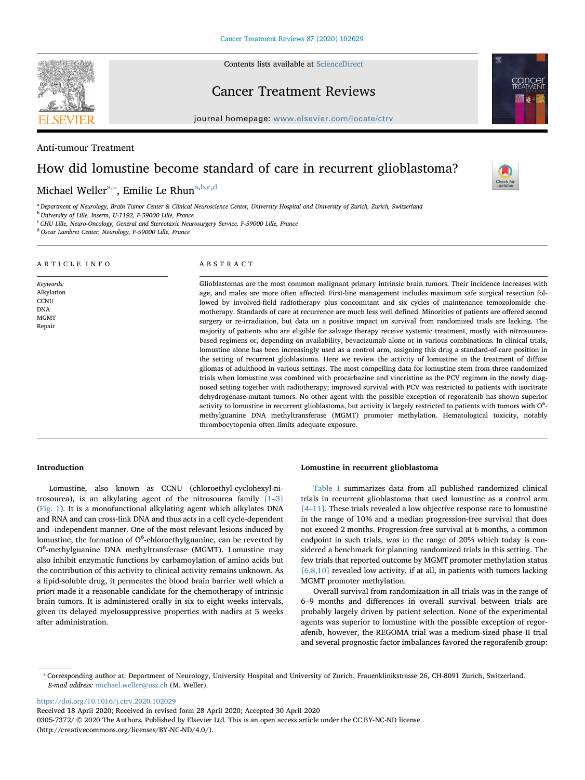Contents lists available at [ScienceDirect](http://www.sciencedirect.com/science/journal/03057372)

Cancer Treatment Reviews

journal homepage: [www.elsevier.com/locate/ctrv](https://www.elsevier.com/locate/ctrv)

Anti-tumour Treatment

ARTICLE INFO

Keywords: Alkylation **CCNU** DNA MGMT Repair

# How did lomustine become standard of care in recurrent glioblastoma?

Michael Weller<sup>[a,](#page-0-0)</sup>\*, Emilie Le Rhun<sup>[a](#page-0-0)[,b,](#page-0-2)[c,](#page-0-3)[d](#page-0-4)</sup>

<span id="page-0-0"></span>a Department of Neurology, Brain Tumor Center & Clinical Neuroscience Center, University Hospital and University of Zurich, Zurich, Switzerland

<span id="page-0-2"></span><sup>b</sup> University of Lille, Inserm, U-1192, F-59000 Lille, France

<span id="page-0-3"></span><sup>c</sup> CHU Lille, Neuro-Oncology, General and Stereotaxic Neurosurgery Service, F-59000 Lille, France

<span id="page-0-4"></span><sup>d</sup> Oscar Lambret Center, Neurology, F-59000 Lille, France

ABSTRACT Glioblastomas are the most common malignant primary intrinsic brain tumors. Their incidence increases with age, and males are more often affected. First-line management includes maximum safe surgical resection followed by involved-field radiotherapy plus concomitant and six cycles of maintenance temozolomide chemotherapy. Standards of care at recurrence are much less well defined. Minorities of patients are offered second surgery or re-irradiation, but data on a positive impact on survival from randomized trials are lacking. The majority of patients who are eligible for salvage therapy receive systemic treatment, mostly with nitrosoureabased regimens or, depending on availability, bevacizumab alone or in various combinations. In clinical trials, lomustine alone has been increasingly used as a control arm, assigning this drug a standard-of-care position in the setting of recurrent glioblastoma. Here we review the activity of lomustine in the treatment of diffuse gliomas of adulthood in various settings. The most compelling data for lomustine stem from three randomized trials when lomustine was combined with procarbazine and vincristine as the PCV regimen in the newly diagnosed setting together with radiotherapy; improved survival with PCV was restricted to patients with isocitrate dehydrogenase-mutant tumors. No other agent with the possible exception of regorafenib has shown superior activity to lomustine in recurrent glioblastoma, but activity is largely restricted to patients with tumors with  $0<sup>6</sup>$ . methylguanine DNA methyltransferase (MGMT) promoter methylation. Hematological toxicity, notably thrombocytopenia often limits adequate exposure.

## Introduction

Lomustine, also known as CCNU (chloroethyl-cyclohexyl-nitrosourea), is an alkylating agent of the nitrosourea family [1–[3\]](#page-6-0) ([Fig. 1](#page-1-0)). It is a monofunctional alkylating agent which alkylates DNA and RNA and can cross-link DNA and thus acts in a cell cycle-dependent and -independent manner. One of the most relevant lesions induced by lomustine, the formation of O<sup>6</sup>-chloroethylguanine, can be reverted by O<sup>6</sup>-methylguanine DNA methyltransferase (MGMT). Lomustine may also inhibit enzymatic functions by carbamoylation of amino acids but the contribution of this activity to clinical activity remains unknown. As a lipid-soluble drug, it permeates the blood brain barrier well which a priori made it a reasonable candidate for the chemotherapy of intrinsic brain tumors. It is administered orally in six to eight weeks intervals, given its delayed myelosuppressive properties with nadirs at 5 weeks after administration.

## Lomustine in recurrent glioblastoma

[Table 1](#page-2-0) summarizes data from all published randomized clinical trials in recurrent glioblastoma that used lomustine as a control arm [4–[11\].](#page-6-1) These trials revealed a low objective response rate to lomustine in the range of 10% and a median progression-free survival that does not exceed 2 months. Progression-free survival at 6 months, a common endpoint in such trials, was in the range of 20% which today is considered a benchmark for planning randomized trials in this setting. The few trials that reported outcome by MGMT promoter methylation status [\[6,8,10\]](#page-6-2) revealed low activity, if at all, in patients with tumors lacking MGMT promoter methylation.

Overall survival from randomization in all trials was in the range of 6–9 months and differences in overall survival between trials are probably largely driven by patient selection. None of the experimental agents was superior to lomustine with the possible exception of regorafenib, however, the REGOMA trial was a medium-sized phase II trial and several prognostic factor imbalances favored the regorafenib group:

<https://doi.org/10.1016/j.ctrv.2020.102029>

Received 18 April 2020; Received in revised form 28 April 2020; Accepted 30 April 2020

0305-7372/ © 2020 The Authors. Published by Elsevier Ltd. This is an open access article under the CC BY-NC-ND license (http://creativecommons.org/licenses/BY-NC-ND/4.0/).



<span id="page-0-1"></span><sup>⁎</sup> Corresponding author at: Department of Neurology, University Hospital and University of Zurich, Frauenklinikstrasse 26, CH-8091 Zurich, Switzerland. E-mail address: [michael.weller@usz.ch](mailto:michael.weller@usz.ch) (M. Weller).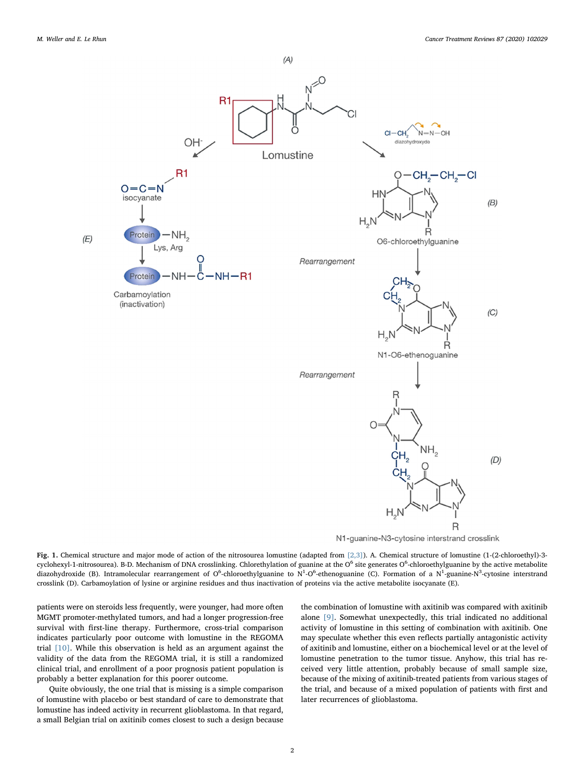<span id="page-1-0"></span>

N1-guanine-N3-cytosine interstrand crosslink

Fig. 1. Chemical structure and major mode of action of the nitrosourea lomustine (adapted from [\[2,3\]\)](#page-6-5). A. Chemical structure of lomustine (1-(2-chloroethyl)-3 cyclohexyl-1-nitrosourea). B-D. Mechanism of DNA crosslinking. Chlorethylation of guanine at the O<sup>6</sup> site generates O<sup>6</sup>-chloroethylguanine by the active metabolite diazohydroxide (B). Intramolecular rearrangement of O<sup>6</sup>-chloroethylguanine to N<sup>1</sup>-O<sup>6</sup>-ethenoguanine (C). Formation of a N<sup>1</sup>-guanine-N<sup>3</sup>-cytosine interstrand crosslink (D). Carbamoylation of lysine or arginine residues and thus inactivation of proteins via the active metabolite isocyanate (E).

patients were on steroids less frequently, were younger, had more often MGMT promoter-methylated tumors, and had a longer progression-free survival with first-line therapy. Furthermore, cross-trial comparison indicates particularly poor outcome with lomustine in the REGOMA trial [\[10\]](#page-6-3). While this observation is held as an argument against the validity of the data from the REGOMA trial, it is still a randomized clinical trial, and enrollment of a poor prognosis patient population is probably a better explanation for this poorer outcome.

Quite obviously, the one trial that is missing is a simple comparison of lomustine with placebo or best standard of care to demonstrate that lomustine has indeed activity in recurrent glioblastoma. In that regard, a small Belgian trial on axitinib comes closest to such a design because

the combination of lomustine with axitinib was compared with axitinib alone [\[9\]](#page-6-4). Somewhat unexpectedly, this trial indicated no additional activity of lomustine in this setting of combination with axitinib. One may speculate whether this even reflects partially antagonistic activity of axitinib and lomustine, either on a biochemical level or at the level of lomustine penetration to the tumor tissue. Anyhow, this trial has received very little attention, probably because of small sample size, because of the mixing of axitinib-treated patients from various stages of the trial, and because of a mixed population of patients with first and later recurrences of glioblastoma.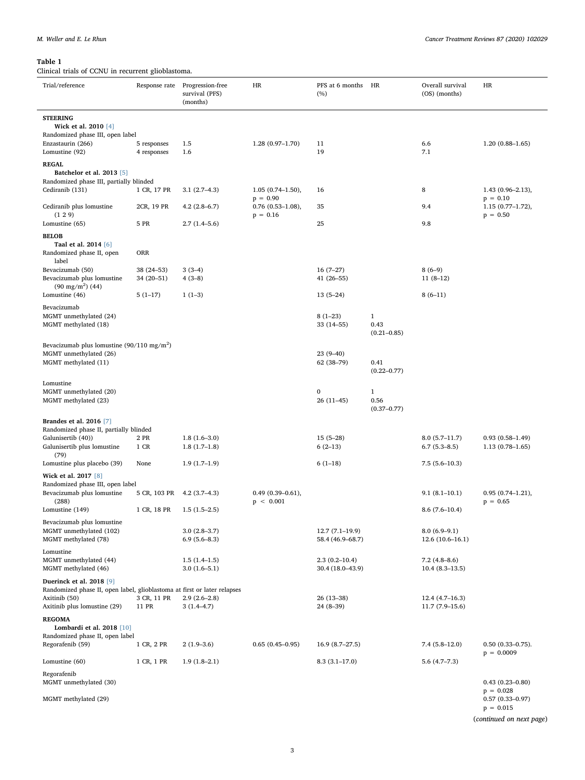# <span id="page-2-0"></span>Table 1

Clinical trials of CCNU in recurrent glioblastoma.

| Trial/reference                                                                                             | Response rate              | Progression-free<br>survival (PFS)<br>(months) | HR                                                 | PFS at 6 months<br>(%)                | HR                                      | Overall survival<br>(OS) (months)     | HR                                             |
|-------------------------------------------------------------------------------------------------------------|----------------------------|------------------------------------------------|----------------------------------------------------|---------------------------------------|-----------------------------------------|---------------------------------------|------------------------------------------------|
| <b>STEERING</b><br>Wick et al. 2010 [4]                                                                     |                            |                                                |                                                    |                                       |                                         |                                       |                                                |
| Randomized phase III, open label<br>Enzastaurin (266)<br>Lomustine (92)                                     | 5 responses<br>4 responses | 1.5<br>1.6                                     | $1.28(0.97-1.70)$                                  | 11<br>19                              |                                         | 6.6<br>7.1                            | $1.20(0.88 - 1.65)$                            |
| <b>REGAL</b><br>Batchelor et al. 2013 [5]                                                                   |                            |                                                |                                                    |                                       |                                         |                                       |                                                |
| Randomized phase III, partially blinded<br>Cediranib (131)                                                  | 1 CR, 17 PR                | $3.1(2.7-4.3)$                                 | $1.05(0.74 - 1.50),$                               | 16                                    |                                         | 8                                     | $1.43(0.96 - 2.13),$                           |
| Cediranib plus lomustine<br>(129)                                                                           | 2CR, 19 PR                 | $4.2(2.8-6.7)$                                 | $p = 0.90$<br>$0.76$ $(0.53-1.08)$ ,<br>$p = 0.16$ | 35                                    |                                         | 9.4                                   | $p = 0.10$<br>$1.15(0.77-1.72),$<br>$p = 0.50$ |
| Lomustine (65)                                                                                              | 5 PR                       | $2.7(1.4-5.6)$                                 |                                                    | 25                                    |                                         | 9.8                                   |                                                |
| <b>BELOB</b><br>Taal et al. 2014 [6]<br>Randomized phase II, open                                           | ORR                        |                                                |                                                    |                                       |                                         |                                       |                                                |
| label<br>Bevacizumab (50)                                                                                   | $38(24 - 53)$              | $3(3-4)$                                       |                                                    | $16(7-27)$                            |                                         | $8(6-9)$                              |                                                |
| Bevacizumab plus lomustine<br>$(90 \text{ mg/m}^2)$ (44)                                                    | $34(20-51)$                | $4(3-8)$                                       |                                                    | $41(26 - 55)$                         |                                         | $11(8-12)$                            |                                                |
| Lomustine (46)<br>Bevacizumab                                                                               | $5(1-17)$                  | $1(1-3)$                                       |                                                    | $13(5-24)$                            |                                         | $8(6-11)$                             |                                                |
| MGMT unmethylated (24)<br>MGMT methylated (18)                                                              |                            |                                                |                                                    | $8(1-23)$<br>$33(14 - 55)$            | $\mathbf{1}$<br>0.43<br>$(0.21 - 0.85)$ |                                       |                                                |
| Bevacizumab plus lomustine (90/110 mg/m <sup>2</sup> )<br>MGMT unmethylated (26)<br>MGMT methylated (11)    |                            |                                                |                                                    | $23(9-40)$<br>62 (38-79)              | 0.41<br>$(0.22 - 0.77)$                 |                                       |                                                |
| Lomustine<br>MGMT unmethylated (20)<br>MGMT methylated (23)                                                 |                            |                                                |                                                    | $\bf{0}$<br>$26(11-45)$               | $\mathbf{1}$<br>0.56                    |                                       |                                                |
| Brandes et al. 2016 [7]                                                                                     |                            |                                                |                                                    |                                       | $(0.37 - 0.77)$                         |                                       |                                                |
| Randomized phase II, partially blinded<br>Galunisertib (40))                                                | 2 PR                       | $1.8(1.6-3.0)$                                 |                                                    | $15(5-28)$                            |                                         | $8.0(5.7-11.7)$                       | $0.93(0.58 - 1.49)$                            |
| Galunisertib plus lomustine<br>(79)                                                                         | 1 CR                       | $1.8(1.7-1.8)$                                 |                                                    | $6(2-13)$                             |                                         | $6.7(5.3-8.5)$                        | $1.13(0.78 - 1.65)$                            |
| Lomustine plus placebo (39)                                                                                 | None                       | $1.9(1.7-1.9)$                                 |                                                    | $6(1-18)$                             |                                         | $7.5(5.6-10.3)$                       |                                                |
| Wick et al. 2017 [8]<br>Randomized phase III, open label                                                    |                            |                                                |                                                    |                                       |                                         |                                       |                                                |
| Bevacizumab plus lomustine<br>(288)                                                                         | 5 CR, 103 PR               | $4.2(3.7-4.3)$                                 | $0.49(0.39 - 0.61),$<br>p < 0.001                  |                                       |                                         | $9.1(8.1-10.1)$                       | $0.95(0.74 - 1.21),$<br>$p = 0.65$             |
| Lomustine (149)                                                                                             | 1 CR, 18 PR                | $1.5(1.5-2.5)$                                 |                                                    |                                       |                                         | $8.6(7.6-10.4)$                       |                                                |
| Bevacizumab plus lomustine<br>MGMT unmethylated (102)<br>MGMT methylated (78)                               |                            | $3.0(2.8-3.7)$<br>$6.9(5.6-8.3)$               |                                                    | $12.7(7.1-19.9)$<br>58.4 (46.9–68.7)  |                                         | $8.0(6.9-9.1)$<br>$12.6(10.6 - 16.1)$ |                                                |
| Lomustine                                                                                                   |                            |                                                |                                                    |                                       |                                         |                                       |                                                |
| MGMT unmethylated (44)<br>MGMT methylated (46)                                                              |                            | $1.5(1.4-1.5)$<br>$3.0(1.6-5.1)$               |                                                    | $2.3(0.2 - 10.4)$<br>30.4 (18.0-43.9) |                                         | $7.2(4.8-8.6)$<br>$10.4(8.3-13.5)$    |                                                |
| <b>Duerinck et al. 2018</b> [9]<br>Randomized phase II, open label, glioblastoma at first or later relapses |                            |                                                |                                                    |                                       |                                         |                                       |                                                |
| Axitinib (50)<br>Axitinib plus lomustine (29)                                                               | 3 CR, 11 PR<br>11 PR       | $2.9(2.6-2.8)$<br>$3(1.4-4.7)$                 |                                                    | $26(13-38)$<br>24 (8-39)              |                                         | $12.4(4.7-16.3)$<br>11.7 (7.9-15.6)   |                                                |
| <b>REGOMA</b><br>Lombardi et al. 2018 [10]<br>Randomized phase II, open label                               |                            |                                                |                                                    |                                       |                                         |                                       |                                                |
| Regorafenib (59)                                                                                            | 1 CR, 2 PR                 | $2(1.9-3.6)$                                   | $0.65(0.45-0.95)$                                  | $16.9(8.7-27.5)$                      |                                         | $7.4(5.8-12.0)$                       | $0.50(0.33 - 0.75)$ .<br>$p = 0.0009$          |
| Lomustine (60)<br>Regorafenib                                                                               | 1 CR, 1 PR                 | $1.9(1.8-2.1)$                                 |                                                    | $8.3(3.1-17.0)$                       |                                         | $5.6(4.7-7.3)$                        |                                                |
| MGMT unmethylated (30)                                                                                      |                            |                                                |                                                    |                                       |                                         |                                       | $0.43(0.23 - 0.80)$<br>$p = 0.028$             |
| MGMT methylated (29)                                                                                        |                            |                                                |                                                    |                                       |                                         |                                       | $0.57(0.33 - 0.97)$<br>$p = 0.015$             |

(continued on next page)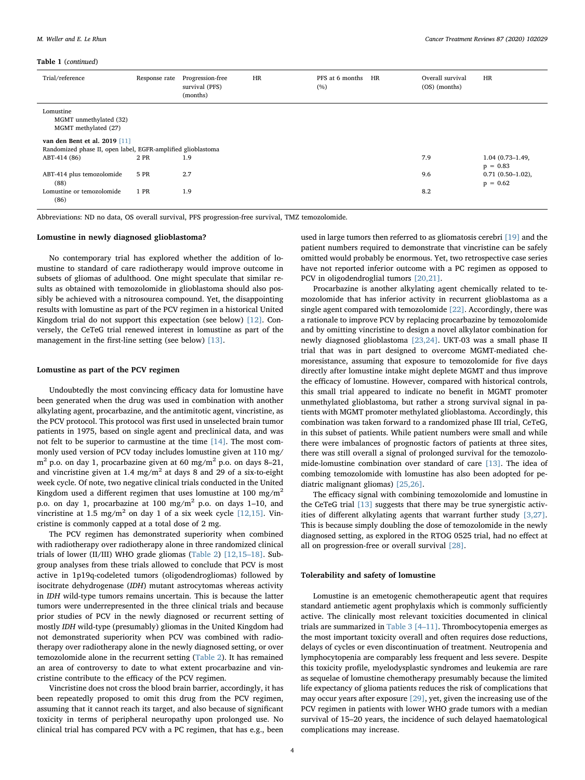#### Table 1 (continued)

| Trial/reference                                              | Response rate | Progression-free<br>survival (PFS)<br>(months) | HR | PFS at 6 months<br>(%) | HR | Overall survival<br>(OS) (months) | <b>HR</b>           |
|--------------------------------------------------------------|---------------|------------------------------------------------|----|------------------------|----|-----------------------------------|---------------------|
| Lomustine<br>MGMT unmethylated (32)<br>MGMT methylated (27)  |               |                                                |    |                        |    |                                   |                     |
| van den Bent et al. 2019 $[11]$                              |               |                                                |    |                        |    |                                   |                     |
| Randomized phase II, open label, EGFR-amplified glioblastoma |               |                                                |    |                        |    |                                   |                     |
| ABT-414 (86)                                                 | 2 PR          | 1.9                                            |    |                        |    | 7.9                               | $1.04(0.73 - 1.49,$ |
|                                                              |               |                                                |    |                        |    |                                   | $p = 0.83$          |
| ABT-414 plus temozolomide                                    | 5 PR          | 2.7                                            |    |                        |    | 9.6                               | $0.71(0.50-1.02),$  |
| (88)                                                         |               |                                                |    |                        |    |                                   | $p = 0.62$          |
| Lomustine or temozolomide                                    | 1 PR          | 1.9                                            |    |                        |    | 8.2                               |                     |
| (86)                                                         |               |                                                |    |                        |    |                                   |                     |

Abbreviations: ND no data, OS overall survival, PFS progression-free survival, TMZ temozolomide.

## Lomustine in newly diagnosed glioblastoma?

No contemporary trial has explored whether the addition of lomustine to standard of care radiotherapy would improve outcome in subsets of gliomas of adulthood. One might speculate that similar results as obtained with temozolomide in glioblastoma should also possibly be achieved with a nitrosourea compound. Yet, the disappointing results with lomustine as part of the PCV regimen in a historical United Kingdom trial do not support this expectation (see below) [\[12\].](#page-6-9) Conversely, the CeTeG trial renewed interest in lomustine as part of the management in the first-line setting (see below) [\[13\]](#page-6-10).

#### Lomustine as part of the PCV regimen

Undoubtedly the most convincing efficacy data for lomustine have been generated when the drug was used in combination with another alkylating agent, procarbazine, and the antimitotic agent, vincristine, as the PCV protocol. This protocol was first used in unselected brain tumor patients in 1975, based on single agent and preclinical data, and was not felt to be superior to carmustine at the time [\[14\]](#page-6-11). The most commonly used version of PCV today includes lomustine given at 110 mg/  $m<sup>2</sup>$  p.o. on day 1, procarbazine given at 60 mg/m<sup>2</sup> p.o. on days 8–21, and vincristine given at 1.4 mg/m<sup>2</sup> at days 8 and 29 of a six-to-eight week cycle. Of note, two negative clinical trials conducted in the United Kingdom used a different regimen that uses lomustine at 100 mg/m<sup>2</sup> p.o. on day 1, procarbazine at 100 mg/m<sup>2</sup> p.o. on days 1–10, and vincristine at 1.5 mg/m<sup>2</sup> on day 1 of a six week cycle [\[12,15\]](#page-6-9). Vincristine is commonly capped at a total dose of 2 mg.

The PCV regimen has demonstrated superiority when combined with radiotherapy over radiotherapy alone in three randomized clinical trials of lower (II/III) WHO grade gliomas [\(Table 2](#page-4-0)) [\[12,15](#page-6-9)–18]. Subgroup analyses from these trials allowed to conclude that PCV is most active in 1p19q-codeleted tumors (oligodendrogliomas) followed by isocitrate dehydrogenase (IDH) mutant astrocytomas whereas activity in IDH wild-type tumors remains uncertain. This is because the latter tumors were underrepresented in the three clinical trials and because prior studies of PCV in the newly diagnosed or recurrent setting of mostly IDH wild-type (presumably) gliomas in the United Kingdom had not demonstrated superiority when PCV was combined with radiotherapy over radiotherapy alone in the newly diagnosed setting, or over temozolomide alone in the recurrent setting [\(Table 2\)](#page-4-0). It has remained an area of controversy to date to what extent procarbazine and vincristine contribute to the efficacy of the PCV regimen.

Vincristine does not cross the blood brain barrier, accordingly, it has been repeatedly proposed to omit this drug from the PCV regimen, assuming that it cannot reach its target, and also because of significant toxicity in terms of peripheral neuropathy upon prolonged use. No clinical trial has compared PCV with a PC regimen, that has e.g., been

used in large tumors then referred to as gliomatosis cerebri [\[19\]](#page-6-12) and the patient numbers required to demonstrate that vincristine can be safely omitted would probably be enormous. Yet, two retrospective case series have not reported inferior outcome with a PC regimen as opposed to PCV in oligodendroglial tumors [\[20,21\].](#page-6-13)

Procarbazine is another alkylating agent chemically related to temozolomide that has inferior activity in recurrent glioblastoma as a single agent compared with temozolomide [\[22\]](#page-6-14). Accordingly, there was a rationale to improve PCV by replacing procarbazine by temozolomide and by omitting vincristine to design a novel alkylator combination for newly diagnosed glioblastoma [\[23,24\].](#page-6-15) UKT-03 was a small phase II trial that was in part designed to overcome MGMT-mediated chemoresistance, assuming that exposure to temozolomide for five days directly after lomustine intake might deplete MGMT and thus improve the efficacy of lomustine. However, compared with historical controls, this small trial appeared to indicate no benefit in MGMT promoter unmethylated glioblastoma, but rather a strong survival signal in patients with MGMT promoter methylated glioblastoma. Accordingly, this combination was taken forward to a randomized phase III trial, CeTeG, in this subset of patients. While patient numbers were small and while there were imbalances of prognostic factors of patients at three sites, there was still overall a signal of prolonged survival for the temozolomide-lomustine combination over standard of care [\[13\]](#page-6-10). The idea of combing temozolomide with lomustine has also been adopted for pediatric malignant gliomas) [\[25,26\]](#page-6-16).

The efficacy signal with combining temozolomide and lomustine in the CeTeG trial [\[13\]](#page-6-10) suggests that there may be true synergistic activities of different alkylating agents that warrant further study [\[3,27\]](#page-6-17). This is because simply doubling the dose of temozolomide in the newly diagnosed setting, as explored in the RTOG 0525 trial, had no effect at all on progression-free or overall survival [\[28\].](#page-6-18)

#### Tolerability and safety of lomustine

Lomustine is an emetogenic chemotherapeutic agent that requires standard antiemetic agent prophylaxis which is commonly sufficiently active. The clinically most relevant toxicities documented in clinical trials are summarized in [Table 3](#page-5-0) [4–[11\]](#page-6-1). Thrombocytopenia emerges as the most important toxicity overall and often requires dose reductions, delays of cycles or even discontinuation of treatment. Neutropenia and lymphocytopenia are comparably less frequent and less severe. Despite this toxicity profile, myelodysplastic syndromes and leukemia are rare as sequelae of lomustine chemotherapy presumably because the limited life expectancy of glioma patients reduces the risk of complications that may occur years after exposure [\[29\],](#page-7-0) yet, given the increasing use of the PCV regimen in patients with lower WHO grade tumors with a median survival of 15–20 years, the incidence of such delayed haematological complications may increase.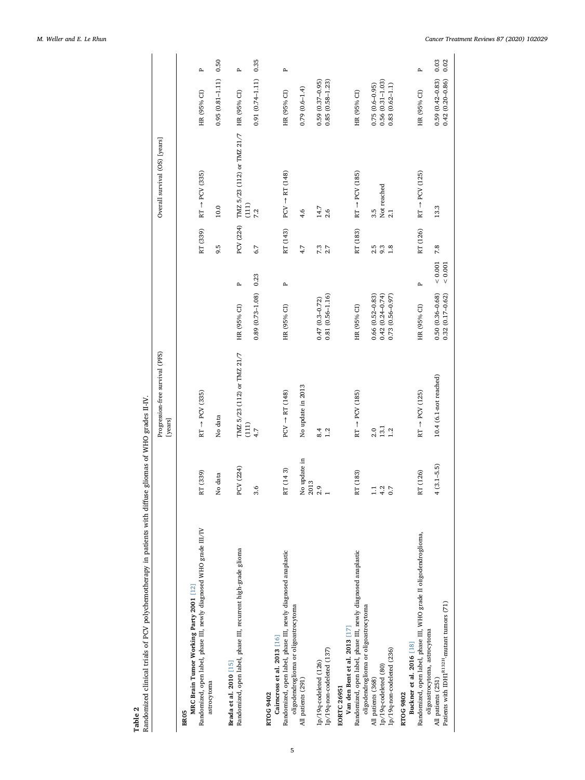Table 2 and<br>Bandomized clinical trials of PCV polychemotherapy in patients with diffuse gliomas of WHO grades II-IV. Randomized clinical trials of PCV polychemotherapy in patients with diffuse gliomas of WHO grades II-IV.

<span id="page-4-0"></span>

|                                                                                                                                              |                      | Progression-free survival (PFS)<br>[years] |                                            |                    |            | Overall survival (OS) [years]                   |                                            |              |
|----------------------------------------------------------------------------------------------------------------------------------------------|----------------------|--------------------------------------------|--------------------------------------------|--------------------|------------|-------------------------------------------------|--------------------------------------------|--------------|
| Randomized, open label, phase III, newly diagnosed WHO grade III/IV<br>MRC Brain Tumor Working Party 2001 [12]<br>astrocytoma<br><b>BR05</b> | RT (339)             | $RT \rightarrow PCV$ (335)                 |                                            |                    | RT (339)   | $RT \rightarrow PCV$ (335)                      | HR (95% CI)                                | $\mathbf{p}$ |
|                                                                                                                                              | No data              | No data                                    |                                            |                    | 9.5        | 10.0                                            | $0.95(0.81 - 1.11)$                        | 0.50         |
| Randomized, open label, phase III, recurrent high-grade glioma<br>Brada et al. 2010 [15]                                                     | PCV (224)            | TMZ 5/23 (112) or TMZ 21/7<br>(111)        | HR (95% CI)                                | $\mathbf{r}$       | PCV (224)  | TMZ 5/23 (112) or TMZ 21/7 HR (95% CI)<br>(111) |                                            | $\mathbf{p}$ |
|                                                                                                                                              | ڢ<br>ω,              | 4.7                                        | $0.89(0.73 - 1.08)$ 0.23                   |                    | 6.7        | 7.2                                             | $0.91(0.74-1.11)$                          | 0.35         |
| Randomized, open label, phase III, newly diagnosed anaplastic<br>Cairncross et al. 2013 [16]<br>RTOG 9402                                    | RT (143)             | $PCV \rightarrow RT (148)$                 | HR (95% CI)                                | Α                  | RT (143)   | $PCV \rightarrow RT(148)$                       | HR (95% CI)                                | $\mathbf{p}$ |
| oligodendroglioma or oligoastrocytoma<br>All patients (291)                                                                                  | No update in<br>2013 | No update in 2013                          |                                            |                    | 4.7        | 4.6                                             | $0.79(0.6 - 1.4)$                          |              |
| 1p/19q-non-codeleted (137)<br>1p/19q-codeleted (126)                                                                                         | 2.9                  | 1.2<br>8.4                                 | $0.81(0.56 - 1.16)$<br>$0.47(0.3 - 0.72)$  |                    | 7.3<br>2.7 | 14.7<br>2.6                                     | $0.85(0.58 - 1.23)$<br>$0.59(0.37-0.95)$   |              |
| Randomized, open label, phase III, newly diagnosed anaplastic<br>Van den Bent et al. 2013 [17]<br><b>EORTC 26951</b>                         | RT (183)             | $RT \rightarrow PCV$ (185)                 | HR (95% CI)                                |                    | RT (183)   | $RT \rightarrow PCV$ (185)                      | HR (95% CI)                                |              |
| oligodendroglioma or oligoastrocytoma<br>All patients (368)                                                                                  | H                    | 2.0                                        | $0.66(0.52 - 0.83)$                        |                    | 2.5        | 3.5                                             | $0.75(0.6-0.95)$                           |              |
| $1p/19q$ -codeleted $(80)$                                                                                                                   | 4.2                  | $13.1\,$                                   | $0.42(0.24 - 0.74)$                        |                    | 9.3        | Not reached                                     | $0.56(0.31 - 1.03)$                        |              |
| 1p/19q-non-codeleted (236)                                                                                                                   | 0.7                  | 1.2                                        | $0.73(0.56 - 0.97)$                        |                    | 1.8        | 2.1                                             | $0.83(0.62 - 1.1)$                         |              |
| Buckner et al. 2016 [18]<br>RTOG 9802                                                                                                        |                      |                                            |                                            |                    |            |                                                 |                                            |              |
| Randomized, open label, phase III, WHO grade II oligodendroglioma,                                                                           | RT (126)             | $RT \rightarrow PCV$ (125)                 | HR (95% CI)                                | Α                  | RT (126)   | $RT \rightarrow PCV$ (125)                      | HR (95% CI)                                | д            |
| Patients with IDH1 <sup>R132H</sup> -mutant tumors (71)<br>oligoastrocytoma, astrocytoma<br>All patients (251)                               | $(3.1 - 5.5)$        | 10.4 (6.1-not reached)                     | $0.50(0.36 - 0.68)$<br>$0.32(0.17 - 0.62)$ | $0.001$<br>$0.001$ | 7.8        | 13.3                                            | $0.59(0.42 - 0.83)$<br>$0.42(0.20 - 0.86)$ | 0.03<br>0.02 |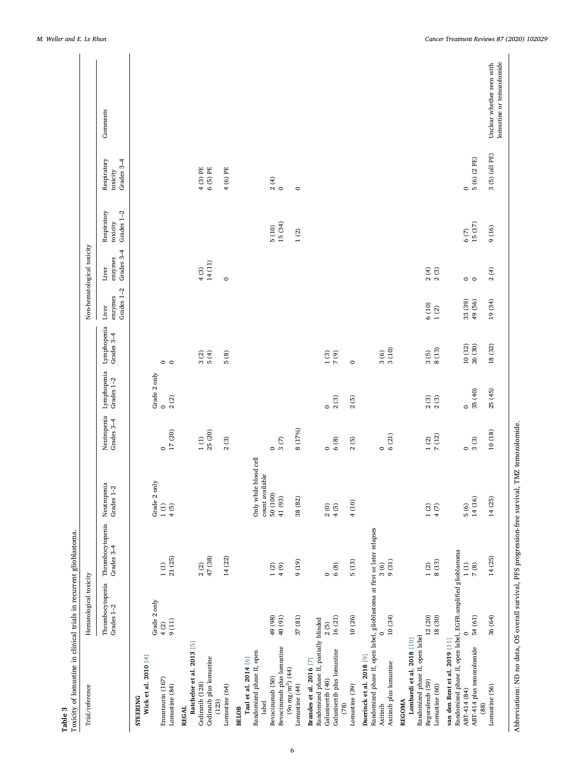<span id="page-5-0"></span>

| Toxicity of lomustine in clinical trials in recurrent glioblastoma.<br>Hematological toxicity<br>Thrombocytopenia<br>Grades 1-2 |
|---------------------------------------------------------------------------------------------------------------------------------|
| Neutropenia<br>Grades 1-2<br>Thrombocytopenia<br>Grades 3-4                                                                     |
| only<br>Grade 2<br>$1\ (\mathrm{I})$<br>4 (5)<br>21 (25)<br>$1\,(\mathrm{I})$                                                   |
| 47 (38)<br>$2\ (2)$                                                                                                             |
| 14 (22)                                                                                                                         |
| Only while blood cell<br>count available<br>50 (100)<br>41 (93)<br>$1\ (2)$<br>4(9)                                             |
| 38 (82)<br>(61)6                                                                                                                |
| 2(0)<br>4(5)<br>6(8)<br>$\circ$                                                                                                 |
| 4 (10)<br>5(13)                                                                                                                 |
| Randomized phase II, open label, glioblastoma at first or later relapses<br>$9(31)$<br>3(6)                                     |
| $1\ (2)$<br>4 (7)<br>8 (13)<br>1(2)                                                                                             |
| 14 (16)<br>5(6)<br>Randomized phase II, open label, EGFR-amplified glioblastoma<br>1(1)<br>7(8)                                 |
| 14 (25)<br>14(25)                                                                                                               |

Abbreviations: ND no data, OS overall survival, PFS progression-free survival, TMZ temozolomide. Abbreviations: ND no data, OS overall survival, PFS progression-free survival, TMZ temozolomide.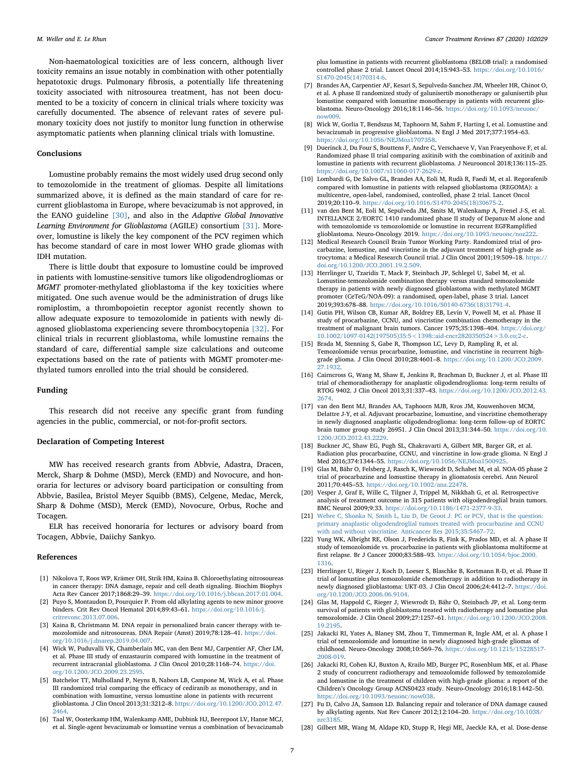Non-haematological toxicities are of less concern, although liver toxicity remains an issue notably in combination with other potentially hepatotoxic drugs. Pulmonary fibrosis, a potentially life threatening toxicity associated with nitrosourea treatment, has not been documented to be a toxicity of concern in clinical trials where toxicity was carefully documented. The absence of relevant rates of severe pulmonary toxicity does not justify to monitor lung function in otherwise asymptomatic patients when planning clinical trials with lomustine.

#### Conclusions

Lomustine probably remains the most widely used drug second only to temozolomide in the treatment of gliomas. Despite all limitations summarized above, it is defined as the main standard of care for recurrent glioblastoma in Europe, where bevacizumab is not approved, in the EANO guideline [\[30\],](#page-7-1) and also in the Adaptive Global Innovative Learning Environment for Glioblastoma (AGILE) consortium [\[31\].](#page-7-2) Moreover, lomustine is likely the key component of the PCV regimen which has become standard of care in most lower WHO grade gliomas with IDH mutation.

There is little doubt that exposure to lomustine could be improved in patients with lomustine-sensitive tumors like oligodendrogliomas or MGMT promoter-methylated glioblastoma if the key toxicities where mitigated. One such avenue would be the administration of drugs like romiplostim, a thrombopoietin receptor agonist recently shown to allow adequate exposure to temozolomide in patients with newly diagnosed glioblastoma experiencing severe thrombocytopenia [\[32\]](#page-7-3). For clinical trials in recurrent glioblastoma, while lomustine remains the standard of care, differential sample size calculations and outcome expectations based on the rate of patients with MGMT promoter-methylated tumors enrolled into the trial should be considered.

#### Funding

This research did not receive any specific grant from funding agencies in the public, commercial, or not-for-profit sectors.

#### Declaration of Competing Interest

MW has received research grants from Abbvie, Adastra, Dracen, Merck, Sharp & Dohme (MSD), Merck (EMD) and Novocure, and honoraria for lectures or advisory board participation or consulting from Abbvie, Basilea, Bristol Meyer Squibb (BMS), Celgene, Medac, Merck, Sharp & Dohme (MSD), Merck (EMD), Novocure, Orbus, Roche and Tocagen.

ELR has received honoraria for lectures or advisory board from Tocagen, Abbvie, Daiichy Sankyo.

#### References

- <span id="page-6-0"></span>[1] Nikolova T, Roos WP, Krämer OH, Strik HM, Kaina B. Chloroethylating nitrosoureas in cancer therapy: DNA damage, repair and cell death signaling. Biochim Biophys Acta Rev Cancer 2017;1868:29–39. [https://doi.org/10.1016/j.bbcan.2017.01.004.](https://doi.org/10.1016/j.bbcan.2017.01.004)
- <span id="page-6-5"></span>[2] Puyo S, Montaudon D, Pourquier P. From old alkylating agents to new minor groove binders. Crit Rev Oncol Hematol 2014;89:43–61. [https://doi.org/10.1016/j.](https://doi.org/10.1016/j.critrevonc.2013.07.006) [critrevonc.2013.07.006.](https://doi.org/10.1016/j.critrevonc.2013.07.006)
- <span id="page-6-17"></span>[3] Kaina B, Christmann M. DNA repair in personalized brain cancer therapy with temozolomide and nitrosoureas. DNA Repair (Amst) 2019;78:128–41. [https://doi.](https://doi.org/10.1016/j.dnarep.2019.04.007) [org/10.1016/j.dnarep.2019.04.007.](https://doi.org/10.1016/j.dnarep.2019.04.007)
- <span id="page-6-1"></span>[4] Wick W, Puduvalli VK, Chamberlain MC, van den Bent MJ, Carpentier AF, Cher LM, et al. Phase III study of enzastaurin compared with lomustine in the treatment of recurrent intracranial glioblastoma. J Clin Oncol 2010;28:1168–74. [https://doi.](https://doi.org/10.1200/JCO.2009.23.2595) [org/10.1200/JCO.2009.23.2595.](https://doi.org/10.1200/JCO.2009.23.2595)
- <span id="page-6-6"></span>[5] Batchelor TT, Mulholland P, Neyns B, Nabors LB, Campone M, Wick A, et al. Phase III randomized trial comparing the efficacy of cediranib as monotherapy, and in combination with lomustine, versus lomustine alone in patients with recurrent glioblastoma. J Clin Oncol 2013;31:3212–8. [https://doi.org/10.1200/JCO.2012.47.](https://doi.org/10.1200/JCO.2012.47.2464) [2464.](https://doi.org/10.1200/JCO.2012.47.2464)
- <span id="page-6-2"></span>[6] Taal W, Oosterkamp HM, Walenkamp AME, Dubbink HJ, Beerepoot LV, Hanse MCJ, et al. Single-agent bevacizumab or lomustine versus a combination of bevacizumab

plus lomustine in patients with recurrent glioblastoma (BELOB trial): a randomised controlled phase 2 trial. Lancet Oncol 2014;15:943–53. [https://doi.org/10.1016/](https://doi.org/10.1016/S1470-2045(14)70314-6) [S1470-2045\(14\)70314-6.](https://doi.org/10.1016/S1470-2045(14)70314-6)

- <span id="page-6-7"></span>[7] Brandes AA, Carpentier AF, Kesari S, Sepulveda-Sanchez JM, Wheeler HR, Chinot O, et al. A phase II randomized study of galunisertib monotherapy or galunisertib plus lomustine compared with lomustine monotherapy in patients with recurrent glioblastoma. Neuro-Oncology 2016;18:1146–56. [https://doi.org/10.1093/neuonc/](https://doi.org/10.1093/neuonc/now009) [now009.](https://doi.org/10.1093/neuonc/now009)
- <span id="page-6-8"></span>[8] Wick W, Gorlia T, Bendszus M, Taphoorn M, Sahm F, Harting I, et al. Lomustine and bevacizumab in progressive glioblastoma. N Engl J Med 2017;377:1954–63. [https://doi.org/10.1056/NEJMoa1707358.](https://doi.org/10.1056/NEJMoa1707358)
- <span id="page-6-4"></span>[9] Duerinck J, Du Four S, Bouttens F, Andre C, Verschaeve V, Van Fraeyenhove F, et al. Randomized phase II trial comparing axitinib with the combination of axitinib and lomustine in patients with recurrent glioblastoma. J Neurooncol 2018;136:115–25. [https://doi.org/10.1007/s11060-017-2629-z.](https://doi.org/10.1007/s11060-017-2629-z)
- <span id="page-6-3"></span>[10] Lombardi G, De Salvo GL, Brandes AA, Eoli M, Rudà R, Faedi M, et al. Regorafenib compared with lomustine in patients with relapsed glioblastoma (REGOMA): a multicentre, open-label, randomised, controlled, phase 2 trial. Lancet Oncol 2019;20:110–9. [https://doi.org/10.1016/S1470-2045\(18\)30675-2.](https://doi.org/10.1016/S1470-2045(18)30675-2)
- <span id="page-6-19"></span>[11] van den Bent M, Eoli M, Sepulveda JM, Smits M, Walenkamp A, Frenel J-S, et al. INTELLANCE 2/EORTC 1410 randomized phase II study of Depatux-M alone and with temozolomide vs temozolomide or lomustine in recurrent EGFRamplified glioblastoma. Neuro-Oncology 2019. [https://doi.org/10.1093/neuonc/noz222.](https://doi.org/10.1093/neuonc/noz222)
- <span id="page-6-9"></span>[12] Medical Research Council Brain Tumor Working Party. Randomized trial of procarbazine, lomustine, and vincristine in the adjuvant treatment of high-grade astrocytoma: a Medical Research Council trial. J Clin Oncol 2001;19:509–18. [https://](https://doi.org/10.1200/JCO.2001.19.2.509) [doi.org/10.1200/JCO.2001.19.2.509.](https://doi.org/10.1200/JCO.2001.19.2.509)
- <span id="page-6-10"></span>[13] Herrlinger U, Tzaridis T, Mack F, Steinbach JP, Schlegel U, Sabel M, et al. Lomustine-temozolomide combination therapy versus standard temozolomide therapy in patients with newly diagnosed glioblastoma with methylated MGMT promoter (CeTeG/NOA-09): a randomised, open-label, phase 3 trial. Lancet 2019;393:678–88. [https://doi.org/10.1016/S0140-6736\(18\)31791-4.](https://doi.org/10.1016/S0140-6736(18)31791-4)
- <span id="page-6-11"></span>[14] Gutin PH, Wilson CB, Kumar AR, Boldrey EB, Levin V, Powell M, et al. Phase II study of procarbazine, CCNU, and vincristine combination chemotherapy in the treatment of malignant brain tumors. Cancer 1975;35:1398-404. [https://doi.org/](https://doi.org/10.1002/1097-0142(197505)35:5<1398::aid-cncr2820350524>3.0.co;2-c) [10.1002/1097-0142\(197505\)35:5<1398::aid-cncr2820350524>3.0.co;2-c.](https://doi.org/10.1002/1097-0142(197505)35:5<1398::aid-cncr2820350524>3.0.co;2-c)
- <span id="page-6-20"></span>[15] Brada M, Stenning S, Gabe R, Thompson LC, Levy D, Rampling R, et al. Temozolomide versus procarbazine, lomustine, and vincristine in recurrent highgrade glioma. J Clin Oncol 2010;28:4601–8. [https://doi.org/10.1200/JCO.2009.](https://doi.org/10.1200/JCO.2009.27.1932) [27.1932.](https://doi.org/10.1200/JCO.2009.27.1932)
- <span id="page-6-21"></span>[16] Cairncross G, Wang M, Shaw E, Jenkins R, Brachman D, Buckner J, et al. Phase III trial of chemoradiotherapy for anaplastic oligodendroglioma: long-term results of RTOG 9402. J Clin Oncol 2013;31:337–43. [https://doi.org/10.1200/JCO.2012.43.](https://doi.org/10.1200/JCO.2012.43.2674) [2674.](https://doi.org/10.1200/JCO.2012.43.2674)
- <span id="page-6-22"></span>[17] van den Bent MJ, Brandes AA, Taphoorn MJB, Kros JM, Kouwenhoven MCM, Delattre J-Y, et al. Adjuvant procarbazine, lomustine, and vincristine chemotherapy in newly diagnosed anaplastic oligodendroglioma: long-term follow-up of EORTC brain tumor group study 26951. J Clin Oncol 2013;31:344–50. [https://doi.org/10.](https://doi.org/10.1200/JCO.2012.43.2229) [1200/JCO.2012.43.2229.](https://doi.org/10.1200/JCO.2012.43.2229)
- <span id="page-6-23"></span>[18] Buckner JC, Shaw EG, Pugh SL, Chakravarti A, Gilbert MR, Barger GR, et al. Radiation plus procarbazine, CCNU, and vincristine in low-grade glioma. N Engl J Med 2016;374:1344–55. [https://doi.org/10.1056/NEJMoa1500925.](https://doi.org/10.1056/NEJMoa1500925)
- <span id="page-6-12"></span>[19] Glas M, Bähr O, Felsberg J, Rasch K, Wiewrodt D, Schabet M, et al. NOA-05 phase 2 trial of procarbazine and lomustine therapy in gliomatosis cerebri. Ann Neurol 2011;70:445–53. [https://doi.org/10.1002/ana.22478.](https://doi.org/10.1002/ana.22478)
- <span id="page-6-13"></span>[20] Vesper J, Graf E, Wille C, Tilgner J, Trippel M, Nikkhah G, et al. Retrospective analysis of treatment outcome in 315 patients with oligodendroglial brain tumors. BMC Neurol 2009;9:33. [https://doi.org/10.1186/1471-2377-9-33.](https://doi.org/10.1186/1471-2377-9-33)
- [21] [Webre C, Shonka N, Smith L, Liu D, De Groot J. PC or PCV, that is the question:](http://refhub.elsevier.com/S0305-7372(20)30067-0/h0105) [primary anaplastic oligodendroglial tumors treated with procarbazine and CCNU](http://refhub.elsevier.com/S0305-7372(20)30067-0/h0105) [with and without vincristine. Anticancer Res 2015;35:5467](http://refhub.elsevier.com/S0305-7372(20)30067-0/h0105)–72.
- <span id="page-6-14"></span>[22] Yung WK, Albright RE, Olson J, Fredericks R, Fink K, Prados MD, et al. A phase II study of temozolomide vs. procarbazine in patients with glioblastoma multiforme at first relapse. Br J Cancer 2000;83:588–93. [https://doi.org/10.1054/bjoc.2000.](https://doi.org/10.1054/bjoc.2000.1316) [1316.](https://doi.org/10.1054/bjoc.2000.1316)
- <span id="page-6-15"></span>[23] Herrlinger U, Rieger J, Koch D, Loeser S, Blaschke B, Kortmann R-D, et al. Phase II trial of lomustine plus temozolomide chemotherapy in addition to radiotherapy in newly diagnosed glioblastoma: UKT-03. J Clin Oncol 2006;24:4412–7. [https://doi.](https://doi.org/10.1200/JCO.2006.06.9104) [org/10.1200/JCO.2006.06.9104.](https://doi.org/10.1200/JCO.2006.06.9104)
- [24] Glas M, Happold C, Rieger J, Wiewrodt D, Bähr O, Steinbach JP, et al. Long-term survival of patients with glioblastoma treated with radiotherapy and lomustine plus temozolomide. J Clin Oncol 2009;27:1257–61. [https://doi.org/10.1200/JCO.2008.](https://doi.org/10.1200/JCO.2008.19.2195) [19.2195.](https://doi.org/10.1200/JCO.2008.19.2195)
- <span id="page-6-16"></span>[25] Jakacki RI, Yates A, Blaney SM, Zhou T, Timmerman R, Ingle AM, et al. A phase I trial of temozolomide and lomustine in newly diagnosed high-grade gliomas of childhood. Neuro-Oncology 2008;10:569–76. [https://doi.org/10.1215/15228517-](https://doi.org/10.1215/15228517-2008-019) [2008-019.](https://doi.org/10.1215/15228517-2008-019)
- [26] Jakacki RI, Cohen KJ, Buxton A, Krailo MD, Burger PC, Rosenblum MK, et al. Phase 2 study of concurrent radiotherapy and temozolomide followed by temozolomide and lomustine in the treatment of children with high-grade glioma: a report of the Children's Oncology Group ACNS0423 study. Neuro-Oncology 2016;18:1442–50. [https://doi.org/10.1093/neuonc/now038.](https://doi.org/10.1093/neuonc/now038)
- [27] Fu D, Calvo JA, Samson LD. Balancing repair and tolerance of DNA damage caused by alkylating agents. Nat Rev Cancer 2012;12:104–20. [https://doi.org/10.1038/](https://doi.org/10.1038/nrc3185) [nrc3185.](https://doi.org/10.1038/nrc3185)
- <span id="page-6-18"></span>[28] Gilbert MR, Wang M, Aldape KD, Stupp R, Hegi ME, Jaeckle KA, et al. Dose-dense